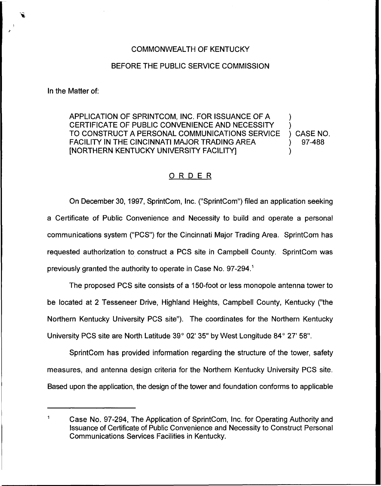## COMMONWEALTH OF KENTUCKY

## BEFORE THE PUBLIC SERVICE COMMISSION

In the Matter of:

APPLICATION OF SPRINTCOM, INC. FOR ISSUANCE OF A ) CERTIFICATE OF PUBLIC CONVENIENCE AND NECESSITY TO CONSTRUCT A PERSONAL COMMUNICATIONS SERVICE ) CASE NO.<br>FACILITY IN THE CINCINNATI MAJOR TRADING AREA ) 97-488 FACILITY IN THE CINCINNATI MAJOR TRADING AREA [NORTHERN KENTUCKY UNIVERSITY FACILITY] )

## ORDER

On December 30, 1997, SprintCom, Inc. ("SprintCom") filed an application seeking a Certificate of Public Convenience and Necessity to build and operate a personal communications system ("PCS") for the Cincinnati Major Trading Area. SprintCom has requested authorization to construct a PCS site in Campbell County. SprintCom was previously granted the authority to operate in Case No. 97-294.<sup>1</sup>

The proposed PCS site consists of a 150-foot or less monopole antenna tower to be located at 2 Tesseneer Drive, Highland Heights, Campbell County, Kentucky ("the Northern Kentucky University PCS site"). The coordinates for the Northern Kentucky University PCS site are North Latitude  $39^{\circ}$  02' 35" by West Longitude  $84^{\circ}$  27' 58".

SprintCom has provided information regarding the structure of the tower, safety measures, and antenna design criteria for the Northern Kentucky University PCS site. Based upon the application, the design of the tower and foundation conforms to applicable

 $\mathbf{1}$ Case No. 97-294, The Application of SprintCom, Inc. for Operating Authority and Issuance of Certificate of Public Convenience and Necessity to Construct Personal Communications Services Facilities in Kentucky.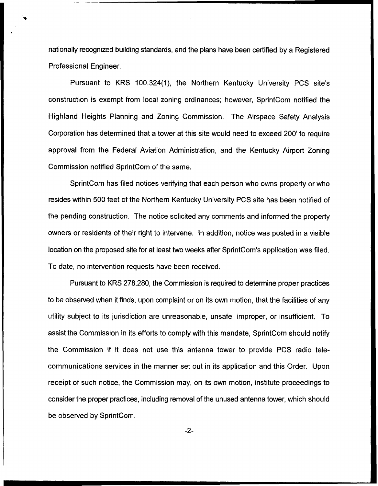nationally recognized building standards, and the plans have been certified by a Registered Professional Engineer.

Pursuant to KRS 100.324(1), the Northern Kentucky University PCS site's construction is exempt from local zoning ordinances; however, SprintCom notified the Highland Heights Planning and Zoning Commission. The Airspace Safety Analysis Corporation has determined that a tower at this site would need to exceed 200' to require approval from the Federal Aviation Administration, and the Kentucky Airport Zoning Commission notified SprintCom of the same.

SprintCom has filed notices verifying that each person who owns property or who resides within 500 feet of the Northern Kentucky University PCS site has been notified of the pending construction. The notice solicited any comments and informed the property owners or residents of their right to intervene. In addition, notice was posted in a visible location on the proposed site for at least two weeks after SprintCom's application was filed. To date, no intervention requests have been received.

Pursuant to KRS 278.280, the Commission is required to determine proper practices to be observed when it finds, upon complaint or on its own motion, that the facilities of any utility subject to its jurisdiction are unreasonable, unsafe, improper, or insufficient, To assist the Commission in its efforts to comply with this mandate, SprintCom should notify the Commission if it does not use this antenna tower to provide PCS radio telecommunications services in the manner set out in its application and this Order. Upon receipt of such notice, the Commission may, on its own motion, institute proceedings to consider the proper practices, including removal of the unused antenna tower, which should be observed by SprintCom.

-2-